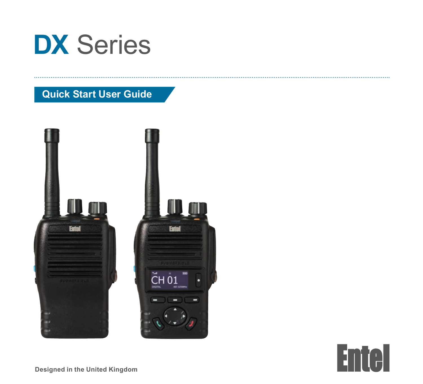

# **Quick Start User Guide**





**Designed in the United Kingdom**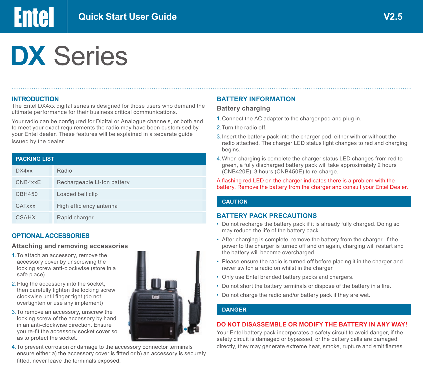# **DX** Series

#### **INTRODUCTION**

**Entel** 

The Entel DX4xx digital series is designed for those users who demand the ultimate performance for their business critical communications.

Your radio can be configured for Digital or Analogue channels, or both and to meet your exact requirements the radio may have been customised by your Entel dealer. These features will be explained in a separate guide issued by the dealer.

# **PACKING LIST**

| DX4xx         | Radio                       |
|---------------|-----------------------------|
| CNB4xxE       | Rechargeable Li-Ion battery |
| <b>CBH450</b> | Loaded belt clip            |
| CATxxx        | High efficiency antenna     |
| <b>CSAHX</b>  | Rapid charger               |

# **OPTIONAL ACCESSORIES**

#### **Attaching and removing accessories**

- 1.To attach an accessory, remove the accessory cover by unscrewing the locking screw anti-clockwise (store in a safe place).
- 2. Plug the accessory into the socket. then carefully tighten the locking screw clockwise until finger tight (do not overtighten or use any implement)
- 3.To remove an accessory, unscrew the locking screw of the accessory by hand in an anti-clockwise direction. Ensure you re-fit the accessory socket cover so as to protect the socket.
- 4.To prevent corrosion or damage to the accessory connector terminals ensure either a) the accessory cover is fitted or b) an accessory is securely fitted, never leave the terminals exposed.



#### **Battery charging**

- 1.Connect the AC adapter to the charger pod and plug in.
- 2.Turn the radio off.
- 3.Insert the battery pack into the charger pod, either with or without the radio attached. The charger LED status light changes to red and charging begins.
- 4.When charging is complete the charger status LED changes from red to green, a fully discharged battery pack will take approximately 2 hours (CNB420E), 3 hours (CNB450E) to re-charge.

#### A flashing red LED on the charger indicates there is a problem with the battery. Remove the battery from the charger and consult your Entel Dealer.

#### **CAUTION**

#### **BATTERY PACK PRECAUTIONS**

- Do not recharge the battery pack if it is already fully charged. Doing so may reduce the life of the battery pack.
- After charging is complete, remove the battery from the charger. If the power to the charger is turned off and on again, charging will restart and the battery will become overcharged.
- Please ensure the radio is turned off before placing it in the charger and never switch a radio on whilst in the charger.
- Only use Entel branded battery packs and chargers.
- Do not short the battery terminals or dispose of the battery in a fire.
- Do not charge the radio and/or battery pack if they are wet.

# **DANGER**

#### **DO NOT DISASSEMBLE OR MODIFY THE BATTERY IN ANY WAY!**

Your Entel battery pack incorporates a safety circuit to avoid danger, if the safety circuit is damaged or bypassed, or the battery cells are damaged directly, they may generate extreme heat, smoke, rupture and emit flames.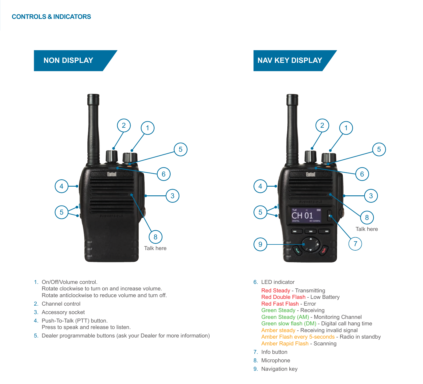

- 1. On/Off/Volume control. Rotate clockwise to turn on and increase volume. Rotate anticlockwise to reduce volume and turn off.
- 2. Channel control
- 3. Accessory socket
- 4. Push-To-Talk (PTT) button. Press to speak and release to listen.
- 5. Dealer programmable buttons (ask your Dealer for more information)

#### 6. LED indicator

Red Steady - Transmitting Red Double Flash - Low Battery Red Fast Flash - Error Green Steady - Receiving Green Steady (AM) - Monitoring Channel Green slow flash (DM) - Digital call hang time Amber steady - Receiving invalid signal Amber Flash every 5-seconds - Radio in standby Amber Rapid Flash - Scanning

5

- 7. Info button
- 8. Microphone
- 9. Navigation key